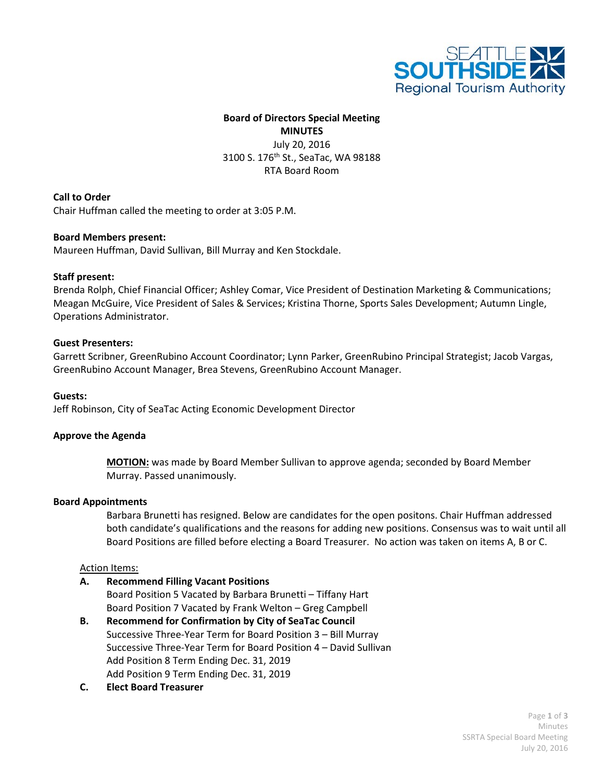

# **Board of Directors Special Meeting MINUTES** July 20, 2016 3100 S. 176<sup>th</sup> St., SeaTac, WA 98188 RTA Board Room

### **Call to Order**

Chair Huffman called the meeting to order at 3:05 P.M.

### **Board Members present:**

Maureen Huffman, David Sullivan, Bill Murray and Ken Stockdale.

### **Staff present:**

Brenda Rolph, Chief Financial Officer; Ashley Comar, Vice President of Destination Marketing & Communications; Meagan McGuire, Vice President of Sales & Services; Kristina Thorne, Sports Sales Development; Autumn Lingle, Operations Administrator.

### **Guest Presenters:**

Garrett Scribner, GreenRubino Account Coordinator; Lynn Parker, GreenRubino Principal Strategist; Jacob Vargas, GreenRubino Account Manager, Brea Stevens, GreenRubino Account Manager.

### **Guests:**

Jeff Robinson, City of SeaTac Acting Economic Development Director

### **Approve the Agenda**

**MOTION:** was made by Board Member Sullivan to approve agenda; seconded by Board Member Murray. Passed unanimously.

### **Board Appointments**

Barbara Brunetti has resigned. Below are candidates for the open positons. Chair Huffman addressed both candidate's qualifications and the reasons for adding new positions. Consensus was to wait until all Board Positions are filled before electing a Board Treasurer. No action was taken on items A, B or C.

### Action Items:

**A. Recommend Filling Vacant Positions**

Board Position 5 Vacated by Barbara Brunetti – Tiffany Hart Board Position 7 Vacated by Frank Welton – Greg Campbell

- **B. Recommend for Confirmation by City of SeaTac Council**  Successive Three-Year Term for Board Position 3 – Bill Murray Successive Three-Year Term for Board Position 4 – David Sullivan Add Position 8 Term Ending Dec. 31, 2019 Add Position 9 Term Ending Dec. 31, 2019
- **C. Elect Board Treasurer**

Page **1** of **3** Minutes SSRTA Special Board Meeting July 20, 2016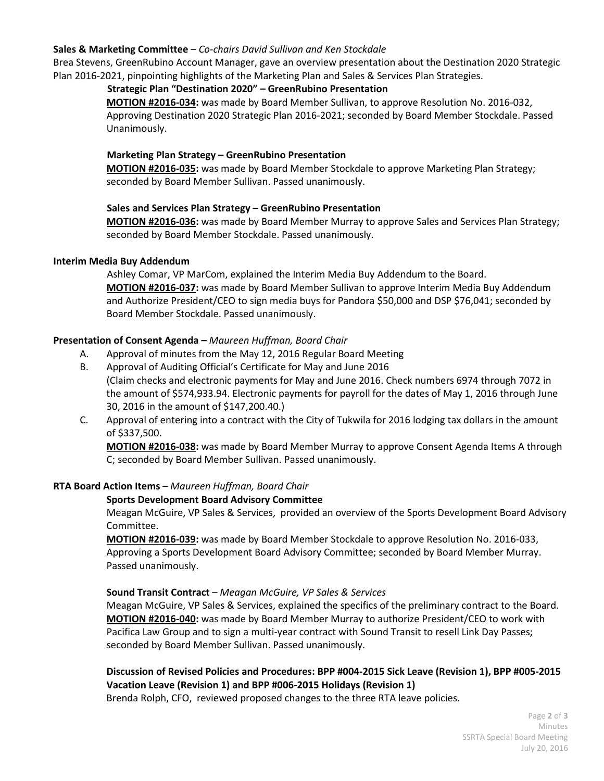### **Sales & Marketing Committee** – *Co-chairs David Sullivan and Ken Stockdale*

Brea Stevens, GreenRubino Account Manager, gave an overview presentation about the Destination 2020 Strategic Plan 2016-2021, pinpointing highlights of the Marketing Plan and Sales & Services Plan Strategies.

## **Strategic Plan "Destination 2020" – GreenRubino Presentation**

**MOTION #2016-034:** was made by Board Member Sullivan, to approve Resolution No. 2016-032, Approving Destination 2020 Strategic Plan 2016-2021; seconded by Board Member Stockdale. Passed Unanimously.

## **Marketing Plan Strategy – GreenRubino Presentation**

**MOTION #2016-035:** was made by Board Member Stockdale to approve Marketing Plan Strategy; seconded by Board Member Sullivan. Passed unanimously.

## **Sales and Services Plan Strategy – GreenRubino Presentation**

**MOTION #2016-036:** was made by Board Member Murray to approve Sales and Services Plan Strategy; seconded by Board Member Stockdale. Passed unanimously.

## **Interim Media Buy Addendum**

 Ashley Comar, VP MarCom, explained the Interim Media Buy Addendum to the Board. **MOTION #2016-037:** was made by Board Member Sullivan to approve Interim Media Buy Addendum and Authorize President/CEO to sign media buys for Pandora \$50,000 and DSP \$76,041; seconded by Board Member Stockdale. Passed unanimously.

# **Presentation of Consent Agenda** *– Maureen Huffman, Board Chair*

- A. Approval of minutes from the May 12, 2016 Regular Board Meeting
- B. Approval of Auditing Official's Certificate for May and June 2016 (Claim checks and electronic payments for May and June 2016. Check numbers 6974 through 7072 in the amount of \$574,933.94. Electronic payments for payroll for the dates of May 1, 2016 through June 30, 2016 in the amount of \$147,200.40.)
- C. Approval of entering into a contract with the City of Tukwila for 2016 lodging tax dollars in the amount of \$337,500.

**MOTION #2016-038:** was made by Board Member Murray to approve Consent Agenda Items A through C; seconded by Board Member Sullivan. Passed unanimously.

# **RTA Board Action Items** *– Maureen Huffman, Board Chair*

# **Sports Development Board Advisory Committee**

Meagan McGuire, VP Sales & Services, provided an overview of the Sports Development Board Advisory Committee.

**MOTION #2016-039:** was made by Board Member Stockdale to approve Resolution No. 2016-033, Approving a Sports Development Board Advisory Committee; seconded by Board Member Murray. Passed unanimously.

# **Sound Transit Contract** – *Meagan McGuire, VP Sales & Services*

Meagan McGuire, VP Sales & Services, explained the specifics of the preliminary contract to the Board. **MOTION #2016-040:** was made by Board Member Murray to authorize President/CEO to work with Pacifica Law Group and to sign a multi-year contract with Sound Transit to resell Link Day Passes; seconded by Board Member Sullivan. Passed unanimously.

# **Discussion of Revised Policies and Procedures: BPP #004-2015 Sick Leave (Revision 1), BPP #005-2015 Vacation Leave (Revision 1) and BPP #006-2015 Holidays (Revision 1)**

Brenda Rolph, CFO, reviewed proposed changes to the three RTA leave policies.